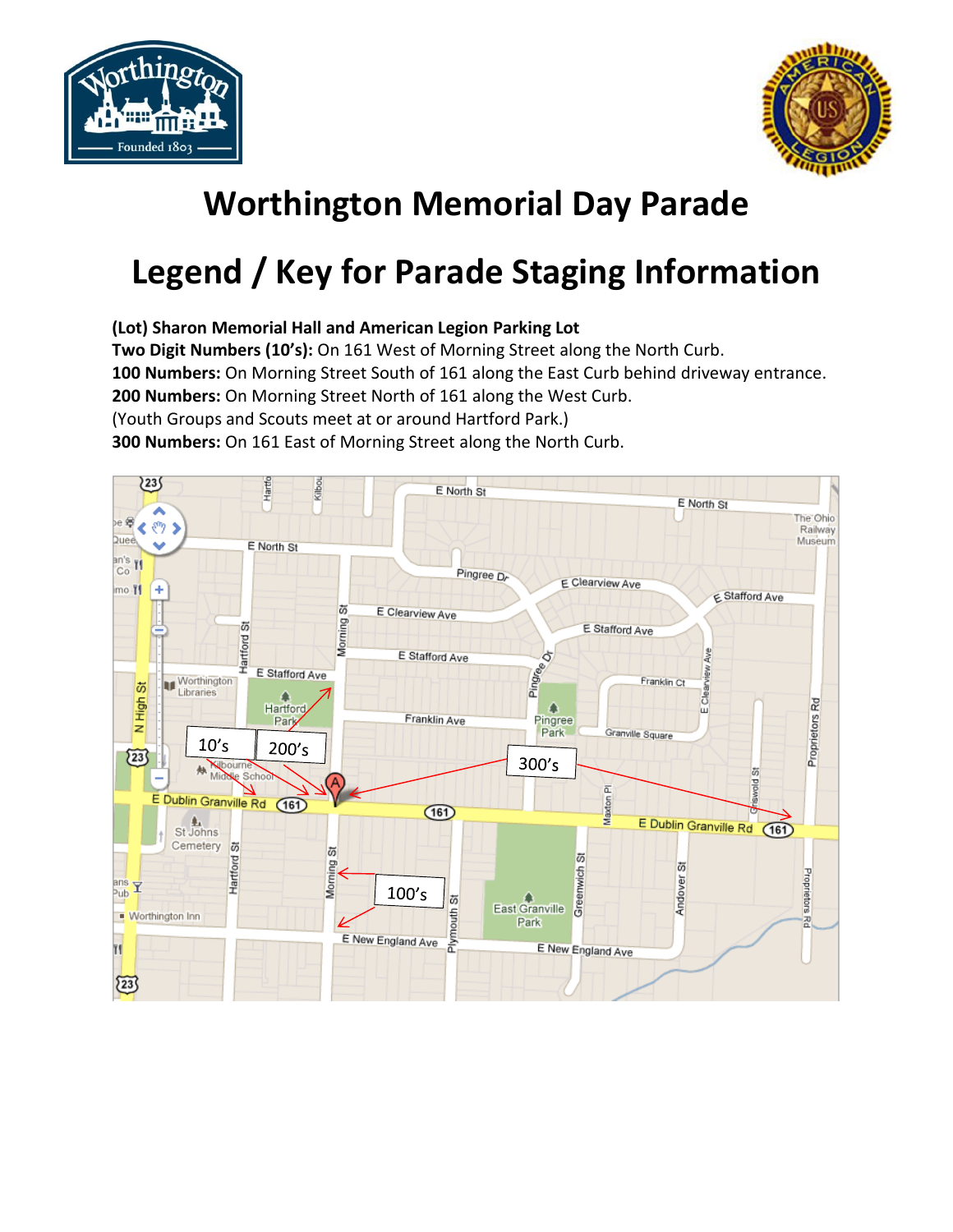



## **Worthington Memorial Day Parade**

## **Legend / Key for Parade Staging Information**

**(Lot) Sharon Memorial Hall and American Legion Parking Lot**

**Two Digit Numbers (10's):** On 161 West of Morning Street along the North Curb.

**100 Numbers:** On Morning Street South of 161 along the East Curb behind driveway entrance.

**200 Numbers:** On Morning Street North of 161 along the West Curb.

(Youth Groups and Scouts meet at or around Hartford Park.)

**300 Numbers:** On 161 East of Morning Street along the North Curb.

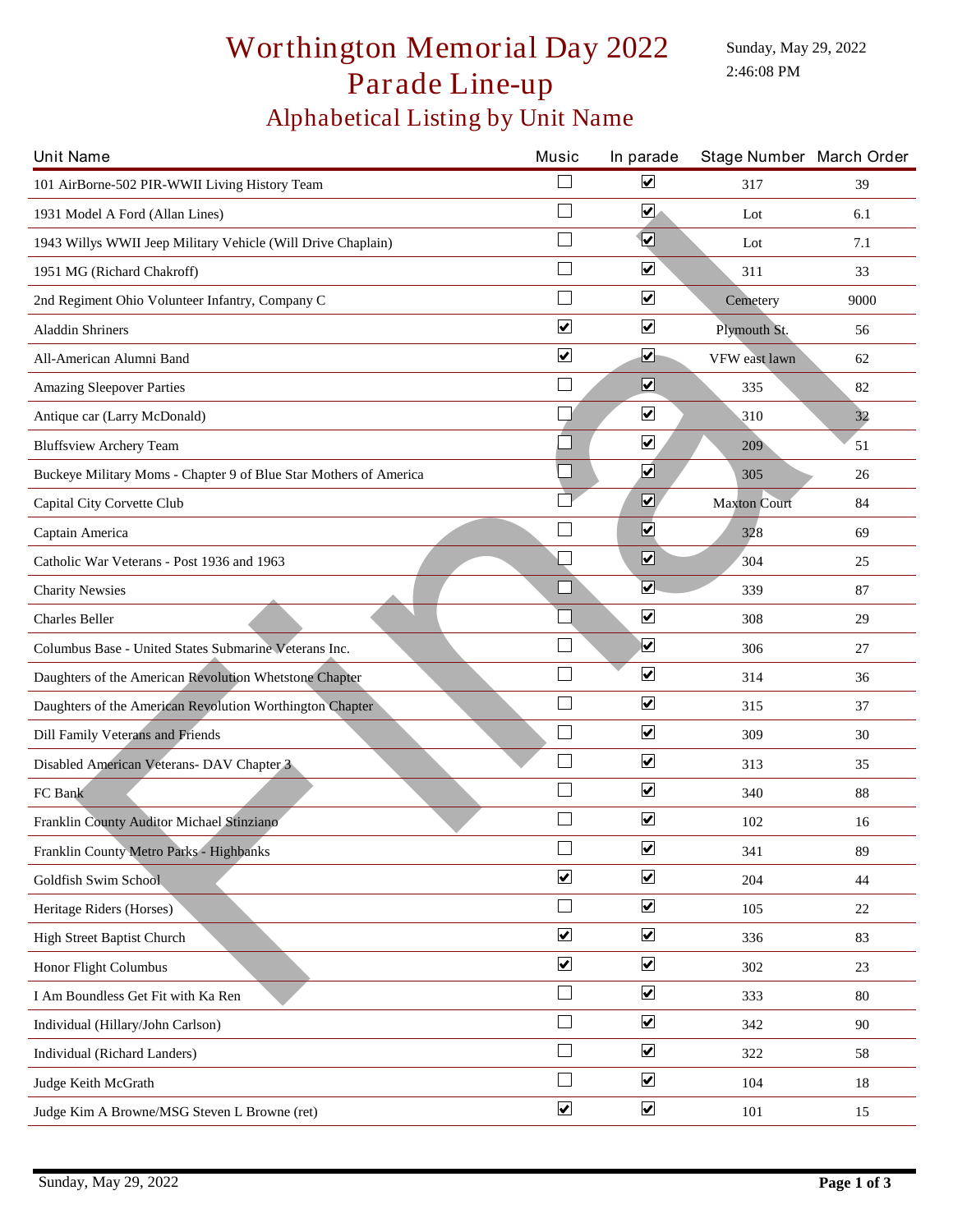## Alphabetical Listing by Unit Name Worthington Memorial Day 2022 Parade Line-up

Sunday, May 29, 2022 2:46:08 PM

| <b>Unit Name</b>                                                  | Music                   | In parade                    | Stage Number March Order |      |
|-------------------------------------------------------------------|-------------------------|------------------------------|--------------------------|------|
| 101 AirBorne-502 PIR-WWII Living History Team                     |                         | ☑                            | 317                      | 39   |
| 1931 Model A Ford (Allan Lines)                                   |                         | $\blacktriangledown$         | Lot                      | 6.1  |
| 1943 Willys WWII Jeep Military Vehicle (Will Drive Chaplain)      |                         | $\overline{\mathbf{v}}$      | Lot                      | 7.1  |
| 1951 MG (Richard Chakroff)                                        | $\Box$                  | $\overline{\mathbf{v}}$      | 311                      | 33   |
| 2nd Regiment Ohio Volunteer Infantry, Company C                   | $\Box$                  | $\overline{\mathbf{v}}$      | Cemetery                 | 9000 |
| <b>Aladdin Shriners</b>                                           | $\blacktriangledown$    | $\blacktriangledown$         | Plymouth St.             | 56   |
| All-American Alumni Band                                          | $\overline{\mathbf{v}}$ | ☑                            | VFW east lawn            | 62   |
| <b>Amazing Sleepover Parties</b>                                  |                         | $\boxed{\blacktriangledown}$ | 335                      | 82   |
| Antique car (Larry McDonald)                                      |                         | $\blacktriangledown$         | 310                      | 32   |
| <b>Bluffsview Archery Team</b>                                    |                         | $\blacktriangledown$         | 209                      | 51   |
| Buckeye Military Moms - Chapter 9 of Blue Star Mothers of America |                         | $\overline{\mathbf{v}}$      | 305                      | 26   |
| Capital City Corvette Club                                        |                         | $\boxed{\blacktriangledown}$ | <b>Maxton Court</b>      | 84   |
| Captain America                                                   |                         | $\overline{\mathbf{v}}$      | 328                      | 69   |
| Catholic War Veterans - Post 1936 and 1963                        |                         | $\boxed{\blacktriangledown}$ | 304                      | 25   |
| <b>Charity Newsies</b>                                            |                         | $\overline{\mathbf{v}}$      | 339                      | 87   |
| Charles Beller                                                    |                         | $\overline{\mathbf{v}}$      | 308                      | 29   |
| Columbus Base - United States Submarine Veterans Inc.             |                         | $\overline{\mathbf{v}}$      | 306                      | 27   |
| Daughters of the American Revolution Whetstone Chapter            |                         | $\overline{\mathbf{v}}$      | 314                      | 36   |
| Daughters of the American Revolution Worthington Chapter          | Г                       | $\blacktriangledown$         | 315                      | 37   |
| Dill Family Veterans and Friends                                  | П                       | $\overline{\mathbf{v}}$      | 309                      | 30   |
| Disabled American Veterans- DAV Chapter 3                         |                         | $\overline{\mathbf{v}}$      | 313                      | 35   |
| FC Bank                                                           |                         | $\blacktriangledown$         | 340                      | 88   |
| Franklin County Auditor Michael Stinziano                         |                         | $\boxed{\blacktriangledown}$ | 102                      | 16   |
| Franklin County Metro Parks - Highbanks                           | $\Box$                  | $\overline{\mathbf{v}}$      | 341                      | 89   |
| Goldfish Swim School                                              | $\blacktriangledown$    | $\overline{\mathbf{v}}$      | 204                      | 44   |
| Heritage Riders (Horses)                                          | $\Box$                  | $\overline{\mathbf{v}}$      | 105                      | 22   |
| High Street Baptist Church                                        | $\blacktriangledown$    | $\blacktriangledown$         | 336                      | 83   |
| Honor Flight Columbus                                             | $\blacktriangledown$    | $\overline{\mathbf{v}}$      | 302                      | 23   |
| I Am Boundless Get Fit with Ka Ren                                | $\Box$                  | $\blacktriangledown$         | 333                      | 80   |
| Individual (Hillary/John Carlson)                                 |                         | $\blacktriangledown$         | 342                      | 90   |
| Individual (Richard Landers)                                      |                         | $\blacktriangledown$         | 322                      | 58   |
| Judge Keith McGrath                                               |                         | $\boxed{\blacktriangledown}$ | 104                      | 18   |
| Judge Kim A Browne/MSG Steven L Browne (ret)                      | $\blacktriangledown$    | $\overline{\mathbf{v}}$      | 101                      | 15   |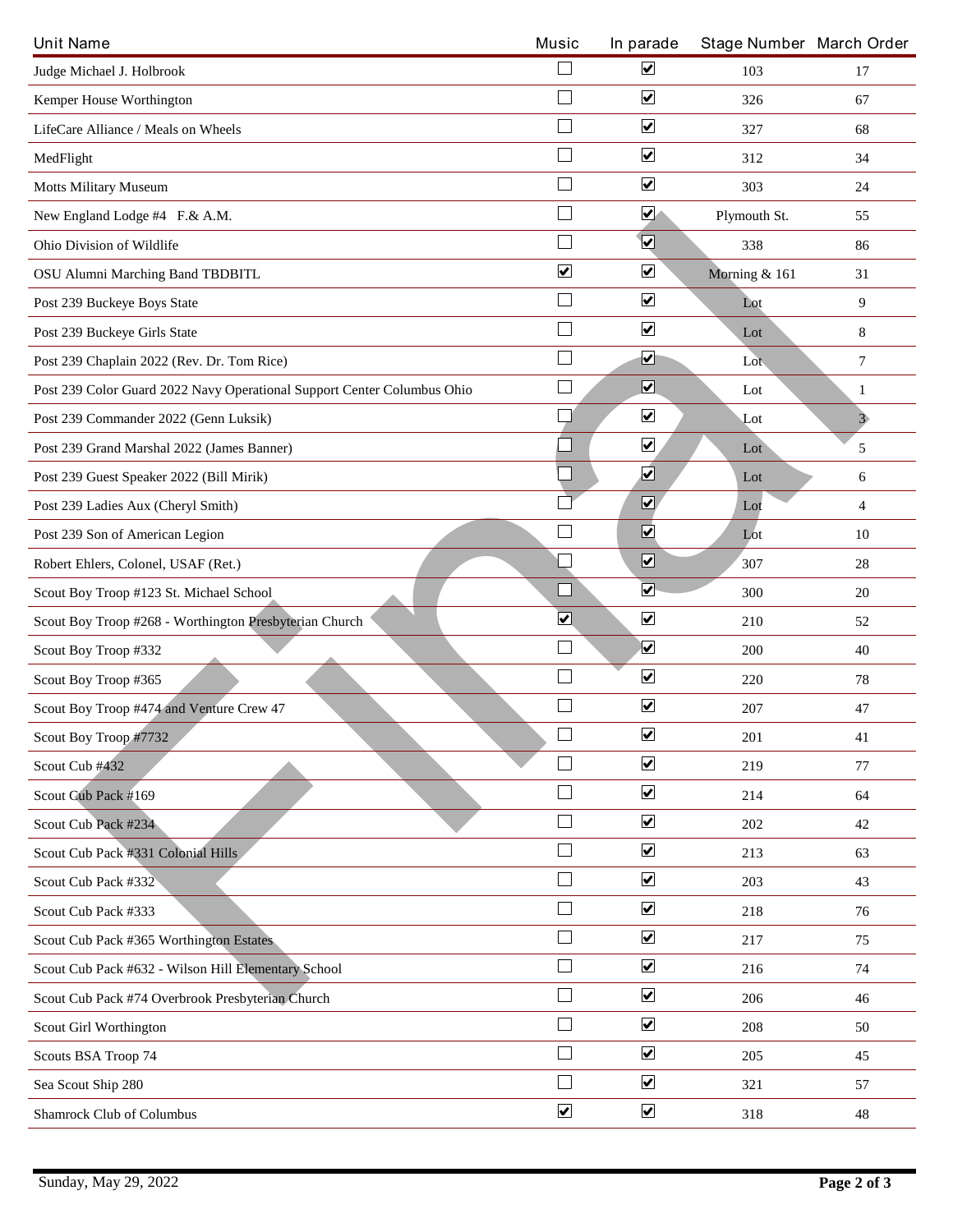| <b>Unit Name</b>                                                        | Music                           | In parade                       | Stage Number March Order |                |
|-------------------------------------------------------------------------|---------------------------------|---------------------------------|--------------------------|----------------|
| Judge Michael J. Holbrook                                               | H                               | $\boxed{\blacktriangledown}$    | 103                      | 17             |
| Kemper House Worthington                                                | $\Box$                          | $\overline{\mathbf{v}}$         | 326                      | 67             |
| LifeCare Alliance / Meals on Wheels                                     | Г                               | $\boxed{\blacktriangledown}$    | 327                      | 68             |
| MedFlight                                                               | Г                               | $\overline{\mathbf{v}}$         | 312                      | 34             |
| <b>Motts Military Museum</b>                                            | $\Box$                          | $\overline{\mathbf{v}}$         | 303                      | 24             |
| New England Lodge #4 F.& A.M.                                           | П                               | $\blacktriangledown$            | Plymouth St.             | 55             |
| Ohio Division of Wildlife                                               | $\Box$                          | $\overline{\mathbf{v}}$         | 338                      | 86             |
| OSU Alumni Marching Band TBDBITL                                        | $\blacktriangledown$            | $\boxed{\blacktriangledown}$    | Morning & 161            | 31             |
| Post 239 Buckeye Boys State                                             | $\overline{\phantom{a}}$        | $\boxed{\blacktriangledown}$    | Lot                      | 9              |
| Post 239 Buckeye Girls State                                            |                                 | $\overline{\mathbf{v}}$         | Lot                      | 8              |
| Post 239 Chaplain 2022 (Rev. Dr. Tom Rice)                              | $\mathcal{L}_{\mathcal{A}}$     | ☑                               | Lot                      | 7              |
| Post 239 Color Guard 2022 Navy Operational Support Center Columbus Ohio | $\Box$                          | $\overline{\mathbf{v}}$         | Lot                      | 1              |
| Post 239 Commander 2022 (Genn Luksik)                                   |                                 | $\blacktriangledown$            | $_{\rm Lot}$             | 3 <sub>o</sub> |
| Post 239 Grand Marshal 2022 (James Banner)                              |                                 | $\boxed{\blacktriangledown}$    | Lot                      | 5              |
| Post 239 Guest Speaker 2022 (Bill Mirik)                                |                                 | $\overline{\blacktriangledown}$ | Lot                      | 6              |
| Post 239 Ladies Aux (Cheryl Smith)                                      |                                 | $\overline{\mathbf{v}}$         | Lot                      | 4              |
| Post 239 Son of American Legion                                         | L                               | $\overline{\mathbf{v}}$         | Lot                      | 10             |
| Robert Ehlers, Colonel, USAF (Ret.)                                     |                                 | $\boxed{\blacktriangledown}$    | 307                      | 28             |
| Scout Boy Troop #123 St. Michael School                                 | $\Box$                          | $\overline{\blacktriangledown}$ | 300                      | 20             |
| Scout Boy Troop #268 - Worthington Presbyterian Church                  | $\overline{\blacktriangledown}$ | $\overline{\mathbf{v}}$         | 210                      | 52             |
| Scout Boy Troop #332                                                    | $\Box$                          | $\overline{\mathbf{v}}$         | 200                      | 40             |
| Scout Boy Troop #365                                                    | Г                               | $\boxed{\blacktriangledown}$    | 220                      | 78             |
| Scout Boy Troop #474 and Venture Crew 47                                |                                 | $\overline{\mathbf{v}}$         | 207                      | 47             |
| Scout Boy Troop #7732                                                   | $\hfill \square$                | $\boxed{\blacktriangledown}$    | 201                      | 41             |
| Scout Cub #432                                                          | $\mathbf{L}$                    | $\blacktriangledown$            | 219                      | 77             |
| Scout Cub Pack #169                                                     | $\Box$                          | $\blacktriangledown$            | 214                      | 64             |
| Scout Cub Pack #234                                                     | Г                               | $\overline{\mathbf{v}}$         | 202                      | 42             |
| Scout Cub Pack #331 Colonial Hills                                      | $\Box$                          | $\blacktriangledown$            | 213                      | 63             |
| Scout Cub Pack #332                                                     | H                               | $\overline{\mathbf{v}}$         | 203                      | 43             |
| Scout Cub Pack #333                                                     | $\Box$                          | $\overline{\mathbf{v}}$         | 218                      | 76             |
| Scout Cub Pack #365 Worthington Estates                                 | $\Box$                          | $\overline{\mathbf{v}}$         | 217                      | 75             |
| Scout Cub Pack #632 - Wilson Hill Elementary School                     | $\Box$                          | $\blacktriangledown$            | 216                      | 74             |
| Scout Cub Pack #74 Overbrook Presbyterian Church                        | $\Box$                          | $\boxed{\blacktriangledown}$    | 206                      | 46             |
| Scout Girl Worthington                                                  |                                 | $\blacktriangledown$            | 208                      | 50             |
| Scouts BSA Troop 74                                                     | $\Box$                          | $\blacktriangledown$            | 205                      | 45             |
| Sea Scout Ship 280                                                      |                                 | $\blacktriangledown$            | 321                      | 57             |
| Shamrock Club of Columbus                                               | $\blacktriangledown$            | $\blacktriangledown$            | 318                      | 48             |